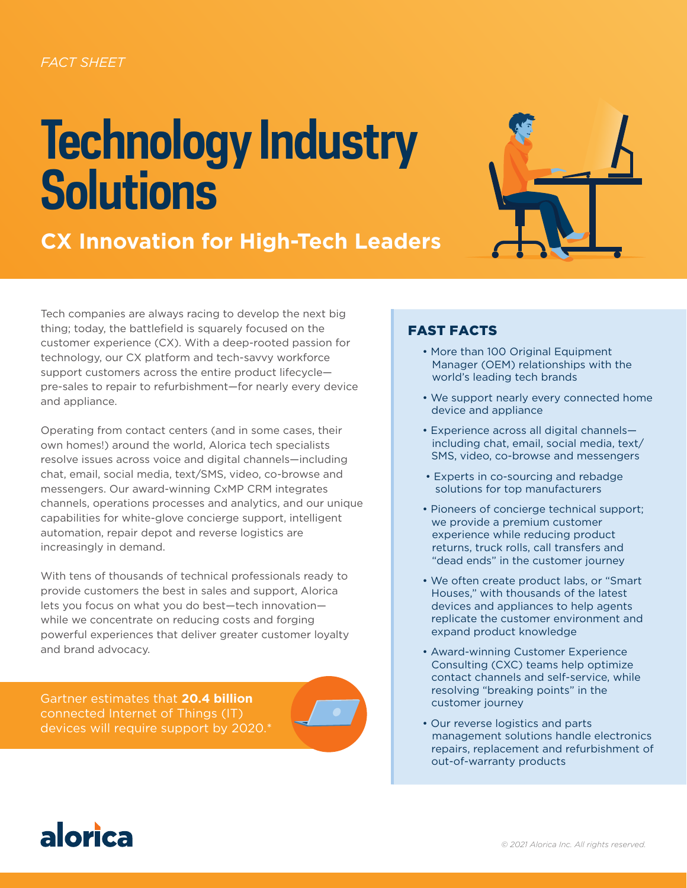# **Technology Industry Solutions**





Tech companies are always racing to develop the next big thing; today, the battlefield is squarely focused on the customer experience (CX). With a deep-rooted passion for technology, our CX platform and tech-savvy workforce support customers across the entire product lifecycle pre-sales to repair to refurbishment—for nearly every device and appliance.

Operating from contact centers (and in some cases, their own homes!) around the world, Alorica tech specialists resolve issues across voice and digital channels—including chat, email, social media, text/SMS, video, co-browse and messengers. Our award-winning CxMP CRM integrates channels, operations processes and analytics, and our unique capabilities for white-glove concierge support, intelligent automation, repair depot and reverse logistics are increasingly in demand.

With tens of thousands of technical professionals ready to provide customers the best in sales and support, Alorica lets you focus on what you do best—tech innovation while we concentrate on reducing costs and forging powerful experiences that deliver greater customer loyalty and brand advocacy.

Gartner estimates that **20.4 billion** connected Internet of Things (IT) devices will require support by 2020.\*

### FAST FACTS

- More than 100 Original Equipment Manager (OEM) relationships with the world's leading tech brands
- We support nearly every connected home device and appliance
- Experience across all digital channels including chat, email, social media, text/ SMS, video, co-browse and messengers
- Experts in co-sourcing and rebadge solutions for top manufacturers
- Pioneers of concierge technical support; we provide a premium customer experience while reducing product returns, truck rolls, call transfers and "dead ends" in the customer journey
- We often create product labs, or "Smart Houses," with thousands of the latest devices and appliances to help agents replicate the customer environment and expand product knowledge
- Award-winning Customer Experience Consulting (CXC) teams help optimize contact channels and self-service, while resolving "breaking points" in the customer journey
- Our reverse logistics and parts management solutions handle electronics repairs, replacement and refurbishment of out-of-warranty products

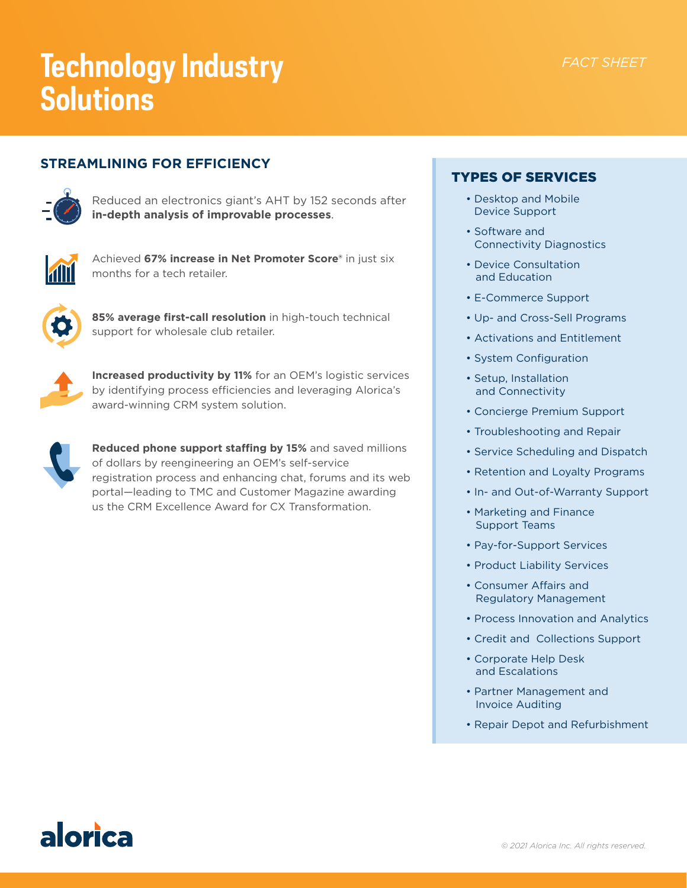### *FACT SHEET*

## **Technology Industry Solutions**

#### **STREAMLINING FOR EFFICIENCY**



Reduced an electronics giant's AHT by 152 seconds after **in-depth analysis of improvable processes**.



Achieved **67% increase in Net Promoter Score®** in just six months for a tech retailer.



**85% average first-call resolution** in high-touch technical support for wholesale club retailer.



**Increased productivity by 11%** for an OEM's logistic services by identifying process efficiencies and leveraging Alorica's award-winning CRM system solution.



**Reduced phone support staffing by 15%** and saved millions of dollars by reengineering an OEM's self-service registration process and enhancing chat, forums and its web portal—leading to TMC and Customer Magazine awarding us the CRM Excellence Award for CX Transformation.

#### TYPES OF SERVICES

- Desktop and Mobile Device Support
- Software and Connectivity Diagnostics
- Device Consultation and Education
- E-Commerce Support
- Up- and Cross-Sell Programs
- Activations and Entitlement
- System Configuration
- Setup, Installation and Connectivity
- Concierge Premium Support
- Troubleshooting and Repair
- Service Scheduling and Dispatch
- Retention and Loyalty Programs
- In- and Out-of-Warranty Support
- Marketing and Finance Support Teams
- Pay-for-Support Services
- Product Liability Services
- Consumer Affairs and Regulatory Management
- Process Innovation and Analytics
- Credit and Collections Support
- Corporate Help Desk and Escalations
- Partner Management and Invoice Auditing
- Repair Depot and Refurbishment

### alorica